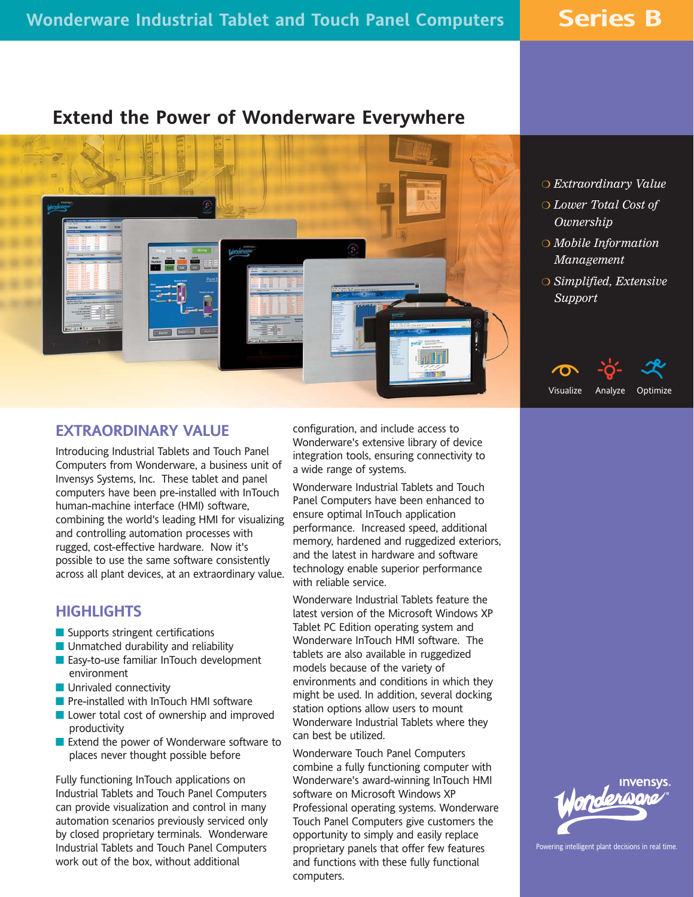**Series B**

# **Extend the Power of Wonderware Everywhere**



- *Extraordinary Value*
- *Lower Total Cost of Ownership*
- *Mobile Information Management*
- *Simplified, Extensive Support*

## **EXTRAORDINARY VALUE**

Introducing Industrial Tablets and Touch Panel Computers from Wonderware, a business unit of Invensys Systems, Inc. These tablet and panel computers have been pre-installed with InTouch human-machine interface (HMI) software, combining the world's leading HMI for visualizing and controlling automation processes with rugged, cost-effective hardware. Now it's possible to use the same software consistently across all plant devices, at an extraordinary value.

## **HIGHLIGHTS**

- Supports stringent certifications
- **Unmatched durability and reliability**
- **Easy-to-use familiar InTouch development** environment
- **Unrivaled connectivity**
- Pre-installed with InTouch HMI software
- **Lower total cost of ownership and improved** productivity
- Extend the power of Wonderware software to places never thought possible before

Fully functioning InTouch applications on Industrial Tablets and Touch Panel Computers can provide visualization and control in many automation scenarios previously serviced only by closed proprietary terminals. Wonderware Industrial Tablets and Touch Panel Computers work out of the box, without additional

configuration, and include access to Wonderware's extensive library of device integration tools, ensuring connectivity to a wide range of systems.

Wonderware Industrial Tablets and Touch Panel Computers have been enhanced to ensure optimal InTouch application performance. Increased speed, additional memory, hardened and ruggedized exteriors, and the latest in hardware and software technology enable superior performance with reliable service.

Wonderware Industrial Tablets feature the latest version of the Microsoft Windows XP Tablet PC Edition operating system and Wonderware InTouch HMI software. The tablets are also available in ruggedized models because of the variety of environments and conditions in which they might be used. In addition, several docking station options allow users to mount Wonderware Industrial Tablets where they can best be utilized.

Wonderware Touch Panel Computers combine a fully functioning computer with Wonderware's award-winning InTouch HMI software on Microsoft Windows XP Professional operating systems. Wonderware Touch Panel Computers give customers the opportunity to simply and easily replace proprietary panels that offer few features and functions with these fully functional computers.





Powering intelligent plant decisions in real time.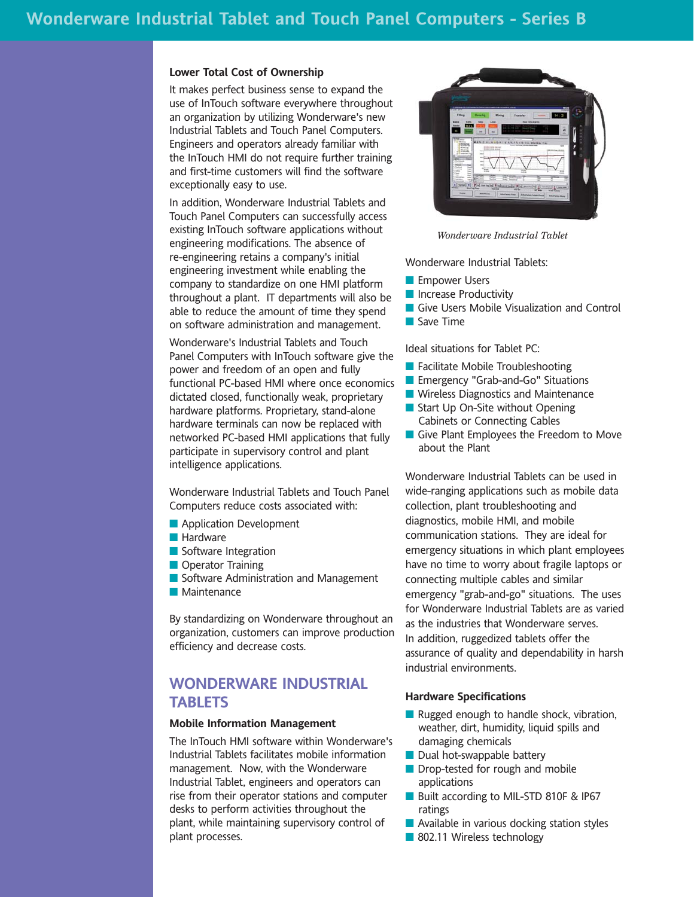#### **Lower Total Cost of Ownership**

It makes perfect business sense to expand the use of InTouch software everywhere throughout an organization by utilizing Wonderware's new Industrial Tablets and Touch Panel Computers. Engineers and operators already familiar with the InTouch HMI do not require further training and first-time customers will find the software exceptionally easy to use.

In addition, Wonderware Industrial Tablets and Touch Panel Computers can successfully access existing InTouch software applications without engineering modifications. The absence of re-engineering retains a company's initial engineering investment while enabling the company to standardize on one HMI platform throughout a plant. IT departments will also be able to reduce the amount of time they spend on software administration and management.

Wonderware's Industrial Tablets and Touch Panel Computers with InTouch software give the power and freedom of an open and fully functional PC-based HMI where once economics dictated closed, functionally weak, proprietary hardware platforms. Proprietary, stand-alone hardware terminals can now be replaced with networked PC-based HMI applications that fully participate in supervisory control and plant intelligence applications.

Wonderware Industrial Tablets and Touch Panel Computers reduce costs associated with:

- **Application Development**
- **Hardware**
- Software Integration
- **Operator Training**
- Software Administration and Management
- **Maintenance**

By standardizing on Wonderware throughout an organization, customers can improve production efficiency and decrease costs.

## **WONDERWARE INDUSTRIAL TABLETS**

### **Mobile Information Management**

The InTouch HMI software within Wonderware's Industrial Tablets facilitates mobile information management. Now, with the Wonderware Industrial Tablet, engineers and operators can rise from their operator stations and computer desks to perform activities throughout the plant, while maintaining supervisory control of plant processes.



*Wonderware Industrial Tablet*

Wonderware Industrial Tablets:

- **Empower Users**
- **Increase Productivity**
- Give Users Mobile Visualization and Control
- Save Time

Ideal situations for Tablet PC:

- **Facilitate Mobile Troubleshooting**
- **Emergency "Grab-and-Go" Situations**
- **N** Wireless Diagnostics and Maintenance
- Start Up On-Site without Opening Cabinets or Connecting Cables
- Give Plant Employees the Freedom to Move about the Plant

Wonderware Industrial Tablets can be used in wide-ranging applications such as mobile data collection, plant troubleshooting and diagnostics, mobile HMI, and mobile communication stations. They are ideal for emergency situations in which plant employees have no time to worry about fragile laptops or connecting multiple cables and similar emergency "grab-and-go" situations. The uses for Wonderware Industrial Tablets are as varied as the industries that Wonderware serves. In addition, ruggedized tablets offer the assurance of quality and dependability in harsh industrial environments.

#### **Hardware Specifications**

- **Rugged enough to handle shock, vibration,** weather, dirt, humidity, liquid spills and damaging chemicals
- $\blacksquare$  Dual hot-swappable battery
- Drop-tested for rough and mobile applications
- Built according to MIL-STD 810F & IP67 ratings
- **Available in various docking station styles**
- 802.11 Wireless technology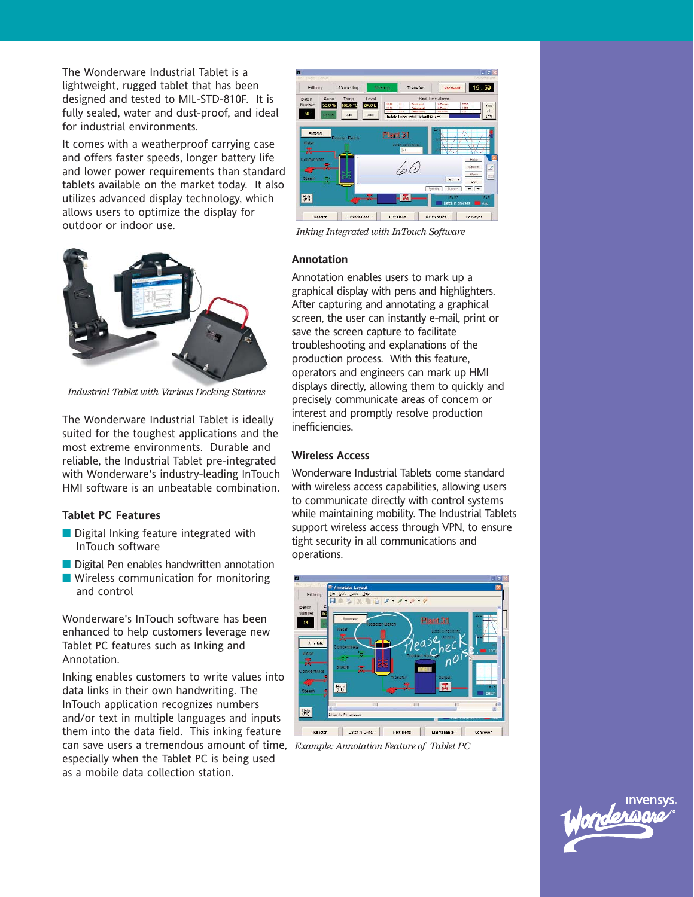The Wonderware Industrial Tablet is a lightweight, rugged tablet that has been designed and tested to MIL-STD-810F. It is fully sealed, water and dust-proof, and ideal for industrial environments.

It comes with a weatherproof carrying case and offers faster speeds, longer battery life and lower power requirements than standard tablets available on the market today. It also utilizes advanced display technology, which allows users to optimize the display for outdoor or indoor use.



*Industrial Tablet with Various Docking Stations*

The Wonderware Industrial Tablet is ideally suited for the toughest applications and the most extreme environments. Durable and reliable, the Industrial Tablet pre-integrated with Wonderware's industry-leading InTouch HMI software is an unbeatable combination.

### **Tablet PC Features**

- Digital Inking feature integrated with InTouch software
- Digital Pen enables handwritten annotation
- **Wireless communication for monitoring** and control

Wonderware's InTouch software has been enhanced to help customers leverage new Tablet PC features such as Inking and Annotation.

Inking enables customers to write values into data links in their own handwriting. The InTouch application recognizes numbers and/or text in multiple languages and inputs them into the data field. This inking feature can save users a tremendous amount of time, *Example: Annotation Feature of Tablet PC* especially when the Tablet PC is being used as a mobile data collection station.



*Inking Integrated with InTouch Software*

#### **Annotation**

Annotation enables users to mark up a graphical display with pens and highlighters. After capturing and annotating a graphical screen, the user can instantly e-mail, print or save the screen capture to facilitate troubleshooting and explanations of the production process. With this feature, operators and engineers can mark up HMI displays directly, allowing them to quickly and precisely communicate areas of concern or interest and promptly resolve production inefficiencies.

### **Wireless Access**

Wonderware Industrial Tablets come standard with wireless access capabilities, allowing users to communicate directly with control systems while maintaining mobility. The Industrial Tablets support wireless access through VPN, to ensure tight security in all communications and operations.



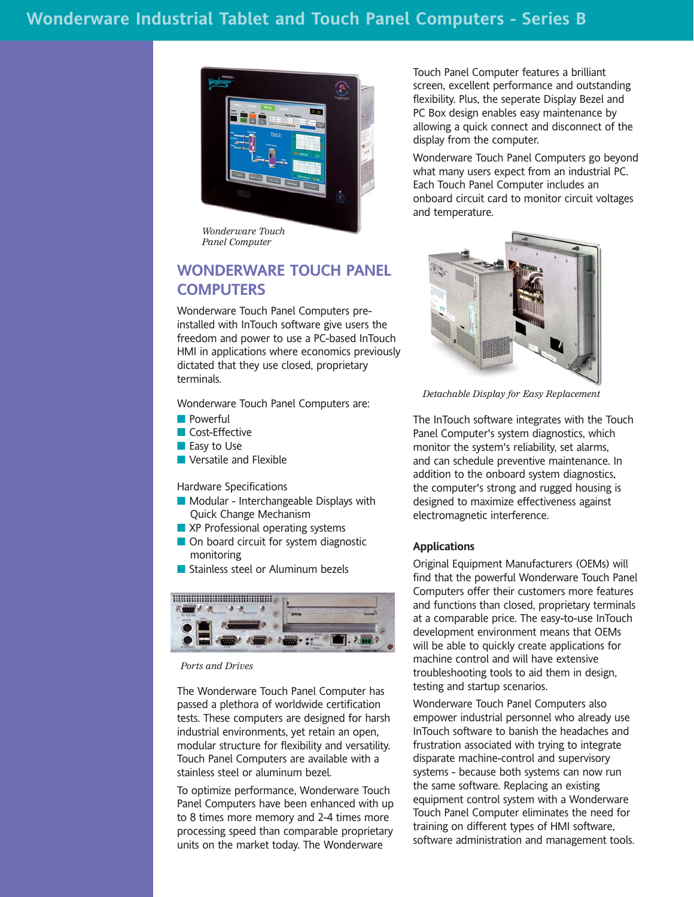

*Wonderware Touch Panel Computer*

## **WONDERWARE TOUCH PANEL COMPUTERS**

Wonderware Touch Panel Computers preinstalled with InTouch software give users the freedom and power to use a PC-based InTouch HMI in applications where economics previously dictated that they use closed, proprietary terminals.

Wonderware Touch Panel Computers are:

- **Powerful**
- **Cost-Effective**
- **Easy to Use**
- **Versatile and Flexible**

Hardware Specifications

- **Modular Interchangeable Displays with** Quick Change Mechanism
- XP Professional operating systems
- On board circuit for system diagnostic monitoring
- Stainless steel or Aluminum bezels



*Ports and Drives*

The Wonderware Touch Panel Computer has passed a plethora of worldwide certification tests. These computers are designed for harsh industrial environments, yet retain an open, modular structure for flexibility and versatility. Touch Panel Computers are available with a stainless steel or aluminum bezel.

To optimize performance, Wonderware Touch Panel Computers have been enhanced with up to 8 times more memory and 2-4 times more processing speed than comparable proprietary units on the market today. The Wonderware

Touch Panel Computer features a brilliant screen, excellent performance and outstanding flexibility. Plus, the seperate Display Bezel and PC Box design enables easy maintenance by allowing a quick connect and disconnect of the display from the computer.

Wonderware Touch Panel Computers go beyond what many users expect from an industrial PC. Each Touch Panel Computer includes an onboard circuit card to monitor circuit voltages and temperature.



*Detachable Display for Easy Replacement*

The InTouch software integrates with the Touch Panel Computer's system diagnostics, which monitor the system's reliability, set alarms, and can schedule preventive maintenance. In addition to the onboard system diagnostics, the computer's strong and rugged housing is designed to maximize effectiveness against electromagnetic interference.

### **Applications**

Original Equipment Manufacturers (OEMs) will find that the powerful Wonderware Touch Panel Computers offer their customers more features and functions than closed, proprietary terminals at a comparable price. The easy-to-use InTouch development environment means that OEMs will be able to quickly create applications for machine control and will have extensive troubleshooting tools to aid them in design, testing and startup scenarios.

Wonderware Touch Panel Computers also empower industrial personnel who already use InTouch software to banish the headaches and frustration associated with trying to integrate disparate machine-control and supervisory systems - because both systems can now run the same software. Replacing an existing equipment control system with a Wonderware Touch Panel Computer eliminates the need for training on different types of HMI software, software administration and management tools.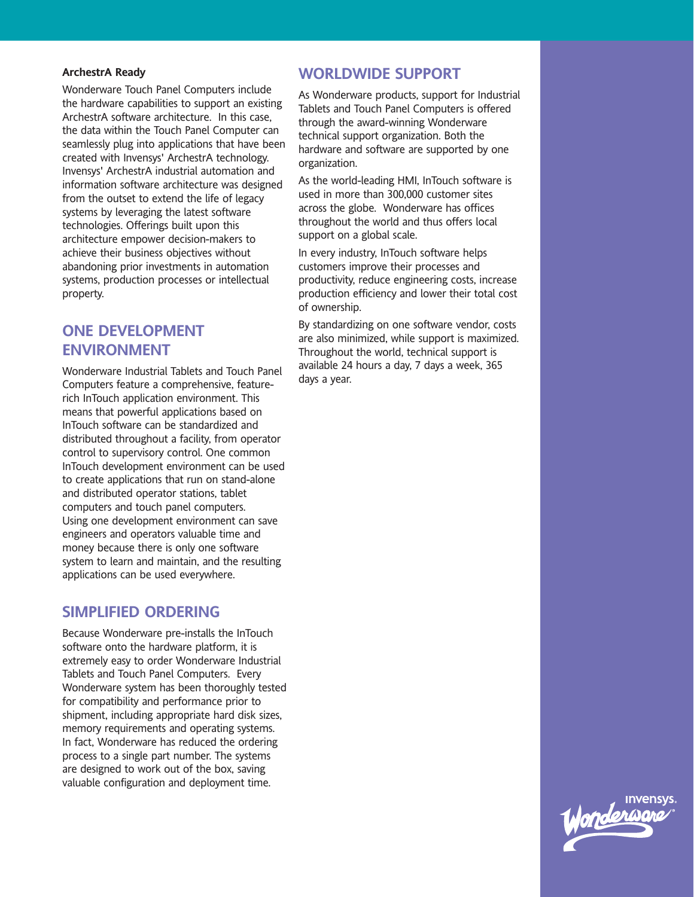### **ArchestrA Ready**

Wonderware Touch Panel Computers include the hardware capabilities to support an existing ArchestrA software architecture. In this case, the data within the Touch Panel Computer can seamlessly plug into applications that have been created with Invensys' ArchestrA technology. Invensys' ArchestrA industrial automation and information software architecture was designed from the outset to extend the life of legacy systems by leveraging the latest software technologies. Offerings built upon this architecture empower decision-makers to achieve their business objectives without abandoning prior investments in automation systems, production processes or intellectual property.

## **ONE DEVELOPMENT ENVIRONMENT**

Wonderware Industrial Tablets and Touch Panel Computers feature a comprehensive, featurerich InTouch application environment. This means that powerful applications based on InTouch software can be standardized and distributed throughout a facility, from operator control to supervisory control. One common InTouch development environment can be used to create applications that run on stand-alone and distributed operator stations, tablet computers and touch panel computers. Using one development environment can save engineers and operators valuable time and money because there is only one software system to learn and maintain, and the resulting applications can be used everywhere.

## **SIMPLIFIED ORDERING**

Because Wonderware pre-installs the InTouch software onto the hardware platform, it is extremely easy to order Wonderware Industrial Tablets and Touch Panel Computers. Every Wonderware system has been thoroughly tested for compatibility and performance prior to shipment, including appropriate hard disk sizes, memory requirements and operating systems. In fact, Wonderware has reduced the ordering process to a single part number. The systems are designed to work out of the box, saving valuable configuration and deployment time.

## **WORLDWIDE SUPPORT**

As Wonderware products, support for Industrial Tablets and Touch Panel Computers is offered through the award-winning Wonderware technical support organization. Both the hardware and software are supported by one organization.

As the world-leading HMI, InTouch software is used in more than 300,000 customer sites across the globe. Wonderware has offices throughout the world and thus offers local support on a global scale.

In every industry, InTouch software helps customers improve their processes and productivity, reduce engineering costs, increase production efficiency and lower their total cost of ownership.

By standardizing on one software vendor, costs are also minimized, while support is maximized. Throughout the world, technical support is available 24 hours a day, 7 days a week, 365 days a year.

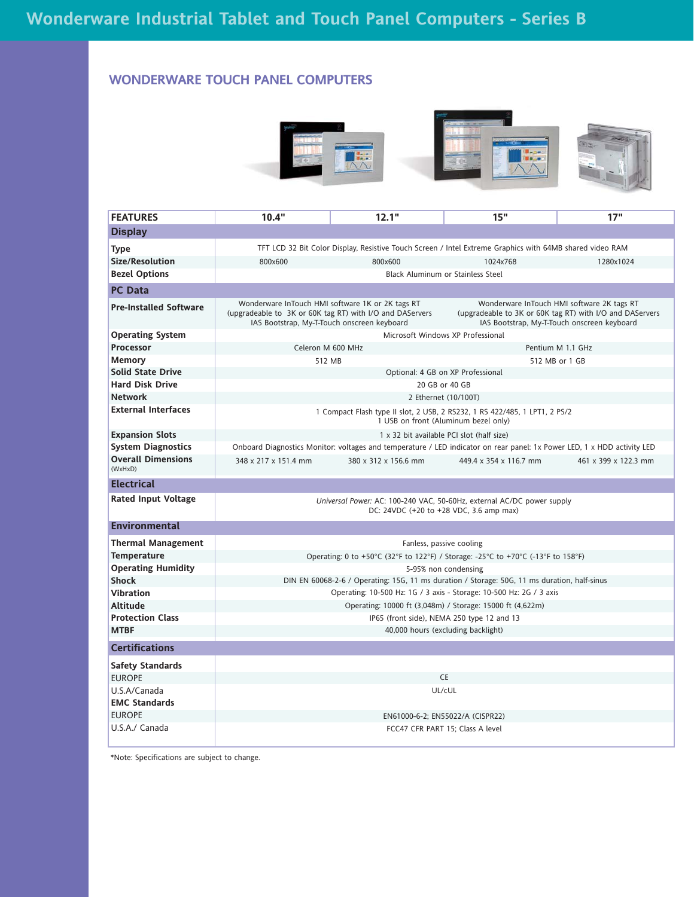### **WONDERWARE TOUCH PANEL COMPUTERS**



| <b>FEATURES</b>                      | 10.4"                                                                                                                                                       | 12.1"                    | 15"                                                                                                                                                   | 17"                  |  |  |  |  |  |  |
|--------------------------------------|-------------------------------------------------------------------------------------------------------------------------------------------------------------|--------------------------|-------------------------------------------------------------------------------------------------------------------------------------------------------|----------------------|--|--|--|--|--|--|
| <b>Display</b>                       |                                                                                                                                                             |                          |                                                                                                                                                       |                      |  |  |  |  |  |  |
| <b>Type</b>                          | TFT LCD 32 Bit Color Display, Resistive Touch Screen / Intel Extreme Graphics with 64MB shared video RAM                                                    |                          |                                                                                                                                                       |                      |  |  |  |  |  |  |
| Size/Resolution                      | 800×600                                                                                                                                                     | 800×600                  | 1024x768                                                                                                                                              | 1280x1024            |  |  |  |  |  |  |
| <b>Bezel Options</b>                 | <b>Black Aluminum or Stainless Steel</b>                                                                                                                    |                          |                                                                                                                                                       |                      |  |  |  |  |  |  |
| <b>PC Data</b>                       |                                                                                                                                                             |                          |                                                                                                                                                       |                      |  |  |  |  |  |  |
| <b>Pre-Installed Software</b>        | Wonderware InTouch HMI software 1K or 2K tags RT<br>(upgradeable to 3K or 60K tag RT) with I/O and DAServers<br>IAS Bootstrap, My-T-Touch onscreen keyboard |                          | Wonderware InTouch HMI software 2K tags RT<br>(upgradeable to 3K or 60K tag RT) with I/O and DAServers<br>IAS Bootstrap, My-T-Touch onscreen keyboard |                      |  |  |  |  |  |  |
| <b>Operating System</b>              | Microsoft Windows XP Professional                                                                                                                           |                          |                                                                                                                                                       |                      |  |  |  |  |  |  |
| Processor                            | Celeron M 600 MHz                                                                                                                                           |                          |                                                                                                                                                       | Pentium M 1.1 GHz    |  |  |  |  |  |  |
| <b>Memory</b>                        | 512 MB                                                                                                                                                      |                          |                                                                                                                                                       | 512 MB or 1 GB       |  |  |  |  |  |  |
| <b>Solid State Drive</b>             | Optional: 4 GB on XP Professional                                                                                                                           |                          |                                                                                                                                                       |                      |  |  |  |  |  |  |
| <b>Hard Disk Drive</b>               | 20 GB or 40 GB                                                                                                                                              |                          |                                                                                                                                                       |                      |  |  |  |  |  |  |
| <b>Network</b>                       | 2 Ethernet (10/100T)                                                                                                                                        |                          |                                                                                                                                                       |                      |  |  |  |  |  |  |
| <b>External Interfaces</b>           | 1 Compact Flash type II slot, 2 USB, 2 RS232, 1 RS 422/485, 1 LPT1, 2 PS/2<br>1 USB on front (Aluminum bezel only)                                          |                          |                                                                                                                                                       |                      |  |  |  |  |  |  |
| <b>Expansion Slots</b>               | 1 x 32 bit available PCI slot (half size)                                                                                                                   |                          |                                                                                                                                                       |                      |  |  |  |  |  |  |
| <b>System Diagnostics</b>            | Onboard Diagnostics Monitor: voltages and temperature / LED indicator on rear panel: 1x Power LED, 1 x HDD activity LED                                     |                          |                                                                                                                                                       |                      |  |  |  |  |  |  |
| <b>Overall Dimensions</b><br>(WxHxD) | 348 x 217 x 151.4 mm                                                                                                                                        | 380 x 312 x 156.6 mm     | 449.4 x 354 x 116.7 mm                                                                                                                                | 461 x 399 x 122.3 mm |  |  |  |  |  |  |
| <b>Electrical</b>                    |                                                                                                                                                             |                          |                                                                                                                                                       |                      |  |  |  |  |  |  |
| <b>Rated Input Voltage</b>           | Universal Power: AC: 100-240 VAC, 50-60Hz, external AC/DC power supply<br>DC: 24VDC (+20 to +28 VDC, 3.6 amp max)                                           |                          |                                                                                                                                                       |                      |  |  |  |  |  |  |
| <b>Environmental</b>                 |                                                                                                                                                             |                          |                                                                                                                                                       |                      |  |  |  |  |  |  |
| <b>Thermal Management</b>            |                                                                                                                                                             | Fanless, passive cooling |                                                                                                                                                       |                      |  |  |  |  |  |  |
| <b>Temperature</b>                   | Operating: 0 to +50°C (32°F to 122°F) / Storage: -25°C to +70°C (-13°F to 158°F)                                                                            |                          |                                                                                                                                                       |                      |  |  |  |  |  |  |
| <b>Operating Humidity</b>            | 5-95% non condensing                                                                                                                                        |                          |                                                                                                                                                       |                      |  |  |  |  |  |  |
| <b>Shock</b>                         | DIN EN 60068-2-6 / Operating: 15G, 11 ms duration / Storage: 50G, 11 ms duration, half-sinus                                                                |                          |                                                                                                                                                       |                      |  |  |  |  |  |  |
| <b>Vibration</b>                     | Operating: 10-500 Hz: 1G / 3 axis - Storage: 10-500 Hz: 2G / 3 axis                                                                                         |                          |                                                                                                                                                       |                      |  |  |  |  |  |  |
| Altitude                             | Operating: 10000 ft (3,048m) / Storage: 15000 ft (4,622m)                                                                                                   |                          |                                                                                                                                                       |                      |  |  |  |  |  |  |
| <b>Protection Class</b>              | IP65 (front side), NEMA 250 type 12 and 13                                                                                                                  |                          |                                                                                                                                                       |                      |  |  |  |  |  |  |
| <b>MTBF</b>                          | 40,000 hours (excluding backlight)                                                                                                                          |                          |                                                                                                                                                       |                      |  |  |  |  |  |  |
| <b>Certifications</b>                |                                                                                                                                                             |                          |                                                                                                                                                       |                      |  |  |  |  |  |  |
| <b>Safety Standards</b>              |                                                                                                                                                             |                          |                                                                                                                                                       |                      |  |  |  |  |  |  |
| <b>EUROPE</b>                        | CE                                                                                                                                                          |                          |                                                                                                                                                       |                      |  |  |  |  |  |  |
| U.S.A/Canada                         | UL/cUL                                                                                                                                                      |                          |                                                                                                                                                       |                      |  |  |  |  |  |  |
| <b>EMC Standards</b>                 |                                                                                                                                                             |                          |                                                                                                                                                       |                      |  |  |  |  |  |  |
| <b>EUROPE</b>                        | EN61000-6-2; EN55022/A (CISPR22)                                                                                                                            |                          |                                                                                                                                                       |                      |  |  |  |  |  |  |
| U.S.A./ Canada                       | FCC47 CFR PART 15: Class A level                                                                                                                            |                          |                                                                                                                                                       |                      |  |  |  |  |  |  |

\*Note: Specifications are subject to change.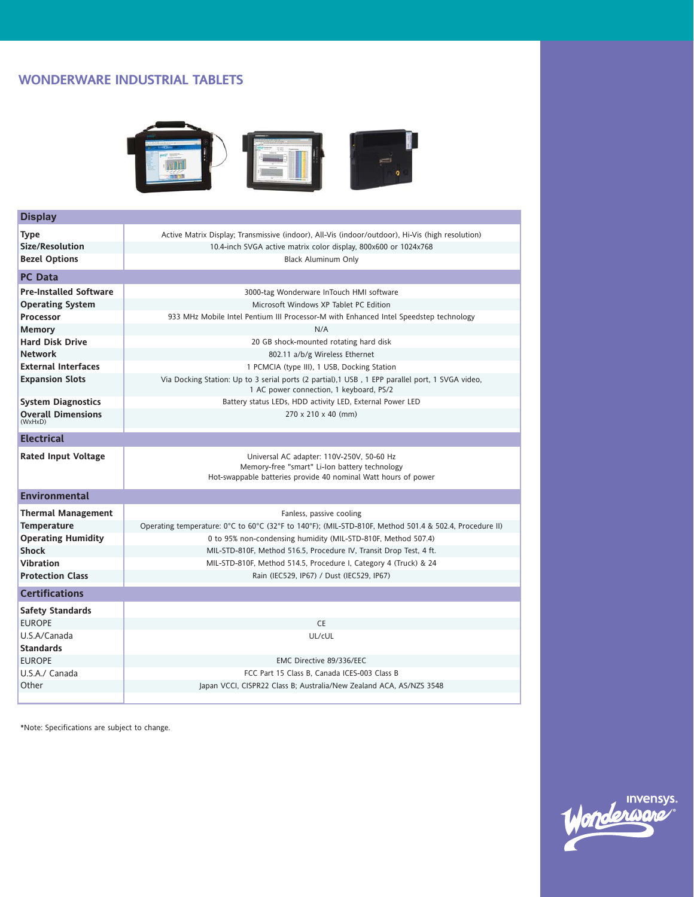### **WONDERWARE INDUSTRIAL TABLETS**



| <b>Display</b>                       |                                                                                                                                                              |  |  |  |  |  |
|--------------------------------------|--------------------------------------------------------------------------------------------------------------------------------------------------------------|--|--|--|--|--|
| <b>Type</b>                          | Active Matrix Display; Transmissive (indoor), All-Vis (indoor/outdoor), Hi-Vis (high resolution)                                                             |  |  |  |  |  |
| Size/Resolution                      | 10.4-inch SVGA active matrix color display, 800x600 or 1024x768                                                                                              |  |  |  |  |  |
| <b>Bezel Options</b>                 | <b>Black Aluminum Only</b>                                                                                                                                   |  |  |  |  |  |
| <b>PC</b> Data                       |                                                                                                                                                              |  |  |  |  |  |
| <b>Pre-Installed Software</b>        | 3000-tag Wonderware InTouch HMI software                                                                                                                     |  |  |  |  |  |
| <b>Operating System</b>              | Microsoft Windows XP Tablet PC Edition                                                                                                                       |  |  |  |  |  |
| <b>Processor</b>                     | 933 MHz Mobile Intel Pentium III Processor-M with Enhanced Intel Speedstep technology                                                                        |  |  |  |  |  |
| <b>Memory</b>                        | N/A                                                                                                                                                          |  |  |  |  |  |
| <b>Hard Disk Drive</b>               | 20 GB shock-mounted rotating hard disk                                                                                                                       |  |  |  |  |  |
| <b>Network</b>                       | 802.11 a/b/g Wireless Ethernet                                                                                                                               |  |  |  |  |  |
| <b>External Interfaces</b>           | 1 PCMCIA (type III), 1 USB, Docking Station                                                                                                                  |  |  |  |  |  |
| <b>Expansion Slots</b>               | Via Docking Station: Up to 3 serial ports (2 partial), 1 USB, 1 EPP parallel port, 1 SVGA video,<br>1 AC power connection, 1 keyboard, PS/2                  |  |  |  |  |  |
| <b>System Diagnostics</b>            | Battery status LEDs, HDD activity LED, External Power LED                                                                                                    |  |  |  |  |  |
| <b>Overall Dimensions</b><br>(WxHxD) | $270 \times 210 \times 40$ (mm)                                                                                                                              |  |  |  |  |  |
| <b>Electrical</b>                    |                                                                                                                                                              |  |  |  |  |  |
| Rated Input Voltage                  | Universal AC adapter: 110V-250V, 50-60 Hz<br>Memory-free "smart" Li-Ion battery technology<br>Hot-swappable batteries provide 40 nominal Watt hours of power |  |  |  |  |  |
| <b>Environmental</b>                 |                                                                                                                                                              |  |  |  |  |  |
| <b>Thermal Management</b>            | Fanless, passive cooling                                                                                                                                     |  |  |  |  |  |
| <b>Temperature</b>                   | Operating temperature: 0°C to 60°C (32°F to 140°F); (MIL-STD-810F, Method 501.4 & 502.4, Procedure II)                                                       |  |  |  |  |  |
| <b>Operating Humidity</b>            | 0 to 95% non-condensing humidity (MIL-STD-810F, Method 507.4)                                                                                                |  |  |  |  |  |
| <b>Shock</b>                         | MIL-STD-810F, Method 516.5, Procedure IV, Transit Drop Test, 4 ft.                                                                                           |  |  |  |  |  |
| Vibration                            | MIL-STD-810F, Method 514.5, Procedure I, Category 4 (Truck) & 24                                                                                             |  |  |  |  |  |
| <b>Protection Class</b>              | Rain (IEC529, IP67) / Dust (IEC529, IP67)                                                                                                                    |  |  |  |  |  |
| <b>Certifications</b>                |                                                                                                                                                              |  |  |  |  |  |
| <b>Safety Standards</b>              |                                                                                                                                                              |  |  |  |  |  |
| <b>EUROPE</b>                        | <b>CE</b>                                                                                                                                                    |  |  |  |  |  |
| U.S.A/Canada                         | UL/cUL                                                                                                                                                       |  |  |  |  |  |
| <b>Standards</b>                     |                                                                                                                                                              |  |  |  |  |  |
| <b>EUROPE</b>                        | EMC Directive 89/336/EEC                                                                                                                                     |  |  |  |  |  |
| U.S.A./ Canada                       | FCC Part 15 Class B. Canada ICES-003 Class B                                                                                                                 |  |  |  |  |  |
| Other                                | Japan VCCI, CISPR22 Class B; Australia/New Zealand ACA, AS/NZS 3548                                                                                          |  |  |  |  |  |

\*Note: Specifications are subject to change.